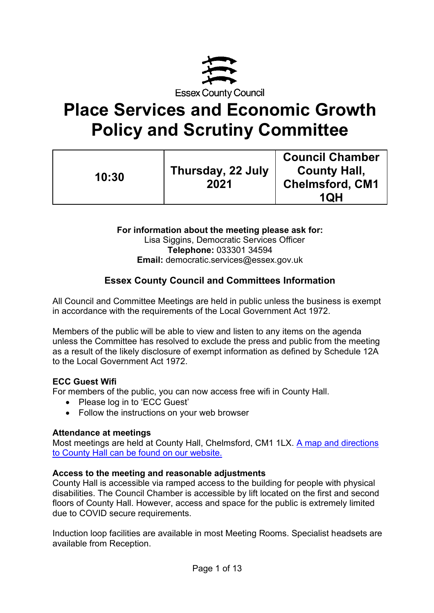

# **Place Services and Economic Growth Policy and Scrutiny Committee**

| 10:30 | Thursday, 22 July<br>2021 | <b>Council Chamber</b><br><b>County Hall,</b><br><b>Chelmsford, CM1</b><br><b>1QH</b> |
|-------|---------------------------|---------------------------------------------------------------------------------------|
|-------|---------------------------|---------------------------------------------------------------------------------------|

**For information about the meeting please ask for:**  Lisa Siggins, Democratic Services Officer **Telephone:** 033301 34594 **Email:** democratic.services@essex.gov.uk

# **Essex County Council and Committees Information**

All Council and Committee Meetings are held in public unless the business is exempt in accordance with the requirements of the Local Government Act 1972.

Members of the public will be able to view and listen to any items on the agenda unless the Committee has resolved to exclude the press and public from the meeting as a result of the likely disclosure of exempt information as defined by Schedule 12A to the Local Government Act 1972.

## **ECC Guest Wifi**

For members of the public, you can now access free wifi in County Hall.

- Please log in to 'ECC Guest'
- Follow the instructions on your web browser

#### **Attendance at meetings**

Most meetings are held at County Hall, Chelmsford, CM1 1LX. [A map and directions](https://www.essex.gov.uk/visit-us)  [to County Hall can be found on our website.](https://www.essex.gov.uk/visit-us)

#### **Access to the meeting and reasonable adjustments**

County Hall is accessible via ramped access to the building for people with physical disabilities. The Council Chamber is accessible by lift located on the first and second floors of County Hall. However, access and space for the public is extremely limited due to COVID secure requirements.

Induction loop facilities are available in most Meeting Rooms. Specialist headsets are available from Reception.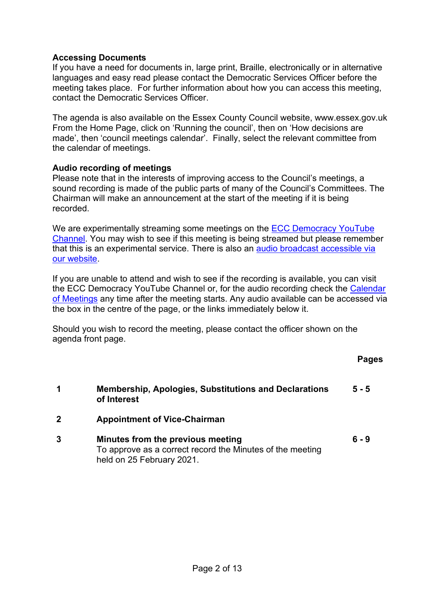## **Accessing Documents**

If you have a need for documents in, large print, Braille, electronically or in alternative languages and easy read please contact the Democratic Services Officer before the meeting takes place. For further information about how you can access this meeting, contact the Democratic Services Officer.

The agenda is also available on the Essex County Council website, www.essex.gov.uk From the Home Page, click on 'Running the council', then on 'How decisions are made', then 'council meetings calendar'. Finally, select the relevant committee from the calendar of meetings.

## **Audio recording of meetings**

Please note that in the interests of improving access to the Council's meetings, a sound recording is made of the public parts of many of the Council's Committees. The Chairman will make an announcement at the start of the meeting if it is being recorded.

We are experimentally streaming some meetings on the [ECC Democracy YouTube](https://eur02.safelinks.protection.outlook.com/?url=https%3A%2F%2Fwww.youtube.com%2Fchannel%2FUCOOP9vKq82ogpyG1gtCnyHQ&data=04%7C01%7C%7Cafdf498032bb42bc576a08d91924b56e%7Ca8b4324f155c4215a0f17ed8cc9a992f%7C0%7C0%7C637568467711384149%7CUnknown%7CTWFpbGZsb3d8eyJWIjoiMC4wLjAwMDAiLCJQIjoiV2luMzIiLCJBTiI6Ik1haWwiLCJXVCI6Mn0%3D%7C1000&sdata=FgEVbcbF%2B%2BFaK4TM2n9gtpI%2FxpckuP2MVd7WhX7bG6A%3D&reserved=0)  [Channel.](https://eur02.safelinks.protection.outlook.com/?url=https%3A%2F%2Fwww.youtube.com%2Fchannel%2FUCOOP9vKq82ogpyG1gtCnyHQ&data=04%7C01%7C%7Cafdf498032bb42bc576a08d91924b56e%7Ca8b4324f155c4215a0f17ed8cc9a992f%7C0%7C0%7C637568467711384149%7CUnknown%7CTWFpbGZsb3d8eyJWIjoiMC4wLjAwMDAiLCJQIjoiV2luMzIiLCJBTiI6Ik1haWwiLCJXVCI6Mn0%3D%7C1000&sdata=FgEVbcbF%2B%2BFaK4TM2n9gtpI%2FxpckuP2MVd7WhX7bG6A%3D&reserved=0) You may wish to see if this meeting is being streamed but please remember that this is an experimental service. There is also an [audio broadcast accessible via](https://cmis.essex.gov.uk/essexcmis5/CalendarofMeetings.aspx)  [our website.](https://cmis.essex.gov.uk/essexcmis5/CalendarofMeetings.aspx)

If you are unable to attend and wish to see if the recording is available, you can visit the ECC Democracy YouTube Channel or, for the audio recording check the [Calendar](https://cmis.essex.gov.uk/essexcmis5/CalendarofMeetings.aspx)  [of Meetings](https://cmis.essex.gov.uk/essexcmis5/CalendarofMeetings.aspx) any time after the meeting starts. Any audio available can be accessed via the box in the centre of the page, or the links immediately below it.

Should you wish to record the meeting, please contact the officer shown on the agenda front page.

**Pages** 

- **1 Membership, Apologies, Substitutions and Declarations of Interest 5 - 5**
- **2 Appointment of Vice-Chairman**
- **3 Minutes from the previous meeting** To approve as a correct record the Minutes of the meeting held on 25 February 2021. **6 - 9**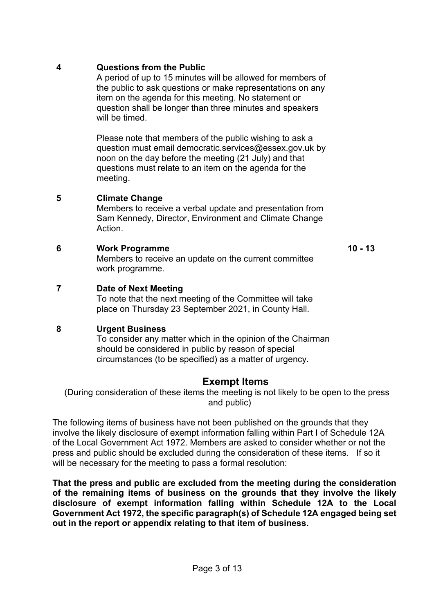## **4 Questions from the Public**

A period of up to 15 minutes will be allowed for members of the public to ask questions or make representations on any item on the agenda for this meeting. No statement or question shall be longer than three minutes and speakers will be timed.

Please note that members of the public wishing to ask a question must email democratic.services@essex.gov.uk by noon on the day before the meeting (21 July) and that questions must relate to an item on the agenda for the meeting.

# **5 Climate Change**

Members to receive a verbal update and presentation from Sam Kennedy, Director, Environment and Climate Change **Action** 

#### **6 Work Programme**

Members to receive an update on the current committee work programme.

**10 - 13**

# **7 Date of Next Meeting**

To note that the next meeting of the Committee will take place on Thursday 23 September 2021, in County Hall.

## **8 Urgent Business**

To consider any matter which in the opinion of the Chairman should be considered in public by reason of special circumstances (to be specified) as a matter of urgency.

# **Exempt Items**

(During consideration of these items the meeting is not likely to be open to the press and public)

The following items of business have not been published on the grounds that they involve the likely disclosure of exempt information falling within Part I of Schedule 12A of the Local Government Act 1972. Members are asked to consider whether or not the press and public should be excluded during the consideration of these items. If so it will be necessary for the meeting to pass a formal resolution:

**That the press and public are excluded from the meeting during the consideration of the remaining items of business on the grounds that they involve the likely disclosure of exempt information falling within Schedule 12A to the Local Government Act 1972, the specific paragraph(s) of Schedule 12A engaged being set out in the report or appendix relating to that item of business.**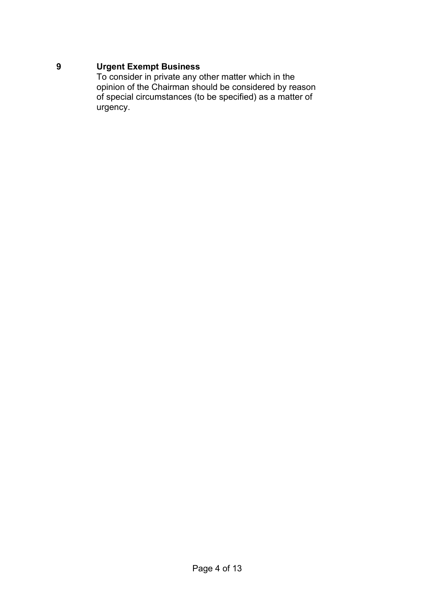# **9 Urgent Exempt Business**

To consider in private any other matter which in the opinion of the Chairman should be considered by reason of special circumstances (to be specified) as a matter of urgency.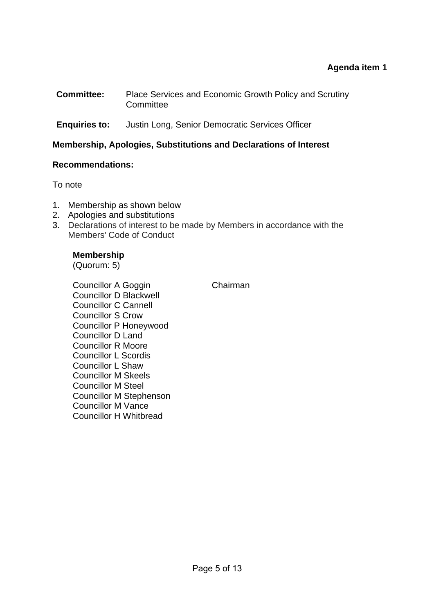## **Agenda item 1**

- **Committee:** Place Services and Economic Growth Policy and Scrutiny **Committee**
- **Enquiries to:** Justin Long, Senior Democratic Services Officer

#### **Membership, Apologies, Substitutions and Declarations of Interest**

#### **Recommendations:**

To note

- 1. Membership as shown below
- 2. Apologies and substitutions
- 3. Declarations of interest to be made by Members in accordance with the Members' Code of Conduct

## **Membership**

(Quorum: 5)

Councillor A Goggin Chairman Councillor D Blackwell Councillor C Cannell Councillor S Crow Councillor P Honeywood Councillor D Land Councillor R Moore Councillor L Scordis Councillor L Shaw Councillor M Skeels Councillor M Steel Councillor M Stephenson Councillor M Vance Councillor H Whitbread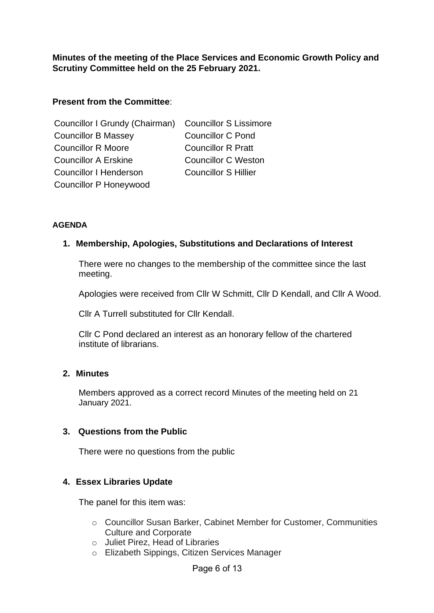**Minutes of the meeting of the Place Services and Economic Growth Policy and Scrutiny Committee held on the 25 February 2021.** 

## **Present from the Committee**:

| Councillor I Grundy (Chairman) Councillor S Lissimore |                             |
|-------------------------------------------------------|-----------------------------|
| <b>Councillor B Massey</b>                            | <b>Councillor C Pond</b>    |
| <b>Councillor R Moore</b>                             | <b>Councillor R Pratt</b>   |
| <b>Councillor A Erskine</b>                           | <b>Councillor C Weston</b>  |
| <b>Councillor I Henderson</b>                         | <b>Councillor S Hillier</b> |
| <b>Councillor P Honeywood</b>                         |                             |

#### **AGENDA**

#### **1. Membership, Apologies, Substitutions and Declarations of Interest**

There were no changes to the membership of the committee since the last meeting.

Apologies were received from Cllr W Schmitt, Cllr D Kendall, and Cllr A Wood.

Cllr A Turrell substituted for Cllr Kendall.

Cllr C Pond declared an interest as an honorary fellow of the chartered institute of librarians.

#### **2. Minutes**

Members approved as a correct record Minutes of the meeting held on 21 January 2021.

#### **3. Questions from the Public**

There were no questions from the public

## **4. Essex Libraries Update**

The panel for this item was:

- o Councillor Susan Barker, Cabinet Member for Customer, Communities Culture and Corporate
- o Juliet Pirez, Head of Libraries
- o Elizabeth Sippings, Citizen Services Manager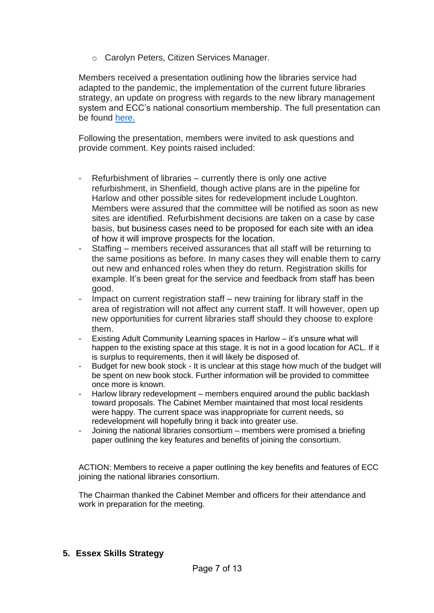o Carolyn Peters, Citizen Services Manager.

Members received a presentation outlining how the libraries service had adapted to the pandemic, the implementation of the current future libraries strategy, an update on progress with regards to the new library management system and ECC's national consortium membership. The full presentation can be found [here.](https://cmis.essex.gov.uk/essexcmis5/CalendarofMeetings/tabid/73/ctl/ViewMeetingPublic/mid/410/Meeting/4622/Committee/129/SelectedTab/Documents/Default.aspx)

Following the presentation, members were invited to ask questions and provide comment. Key points raised included:

- Refurbishment of libraries currently there is only one active refurbishment, in Shenfield, though active plans are in the pipeline for Harlow and other possible sites for redevelopment include Loughton. Members were assured that the committee will be notified as soon as new sites are identified. Refurbishment decisions are taken on a case by case basis, but business cases need to be proposed for each site with an idea of how it will improve prospects for the location.
- Staffing members received assurances that all staff will be returning to the same positions as before. In many cases they will enable them to carry out new and enhanced roles when they do return. Registration skills for example. It's been great for the service and feedback from staff has been good.
- Impact on current registration staff new training for library staff in the area of registration will not affect any current staff. It will however, open up new opportunities for current libraries staff should they choose to explore them.
- Existing Adult Community Learning spaces in Harlow it's unsure what will happen to the existing space at this stage. It is not in a good location for ACL. If it is surplus to requirements, then it will likely be disposed of.
- Budget for new book stock It is unclear at this stage how much of the budget will be spent on new book stock. Further information will be provided to committee once more is known.
- Harlow library redevelopment members enquired around the public backlash toward proposals. The Cabinet Member maintained that most local residents were happy. The current space was inappropriate for current needs, so redevelopment will hopefully bring it back into greater use.
- Joining the national libraries consortium members were promised a briefing paper outlining the key features and benefits of joining the consortium.

ACTION: Members to receive a paper outlining the key benefits and features of ECC joining the national libraries consortium.

The Chairman thanked the Cabinet Member and officers for their attendance and work in preparation for the meeting.

**5. Essex Skills Strategy**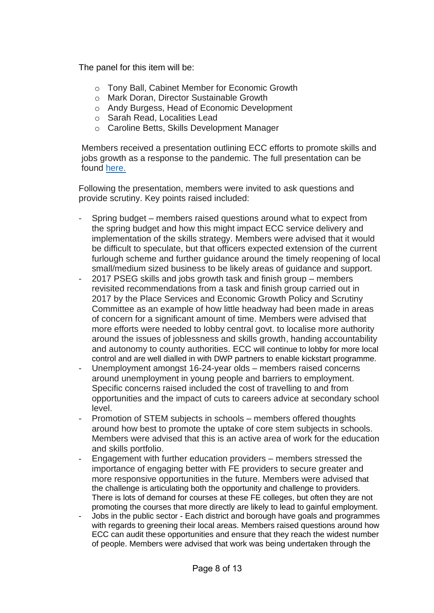The panel for this item will be:

- o Tony Ball, Cabinet Member for Economic Growth
- o Mark Doran, Director Sustainable Growth
- o Andy Burgess, Head of Economic Development
- o Sarah Read, Localities Lead
- o Caroline Betts, Skills Development Manager

Members received a presentation outlining ECC efforts to promote skills and jobs growth as a response to the pandemic. The full presentation can be found [here.](https://cmis.essex.gov.uk/essexcmis5/CalendarofMeetings/tabid/73/ctl/ViewMeetingPublic/mid/410/Meeting/4622/Committee/129/SelectedTab/Documents/Default.aspx)

Following the presentation, members were invited to ask questions and provide scrutiny. Key points raised included:

- Spring budget members raised questions around what to expect from the spring budget and how this might impact ECC service delivery and implementation of the skills strategy. Members were advised that it would be difficult to speculate, but that officers expected extension of the current furlough scheme and further guidance around the timely reopening of local small/medium sized business to be likely areas of guidance and support.
- 2017 PSEG skills and jobs growth task and finish group members revisited recommendations from a task and finish group carried out in 2017 by the Place Services and Economic Growth Policy and Scrutiny Committee as an example of how little headway had been made in areas of concern for a significant amount of time. Members were advised that more efforts were needed to lobby central govt. to localise more authority around the issues of joblessness and skills growth, handing accountability and autonomy to county authorities. ECC will continue to lobby for more local control and are well dialled in with DWP partners to enable kickstart programme.
- Unemployment amongst 16-24-year olds members raised concerns around unemployment in young people and barriers to employment. Specific concerns raised included the cost of travelling to and from opportunities and the impact of cuts to careers advice at secondary school level.
- Promotion of STEM subjects in schools members offered thoughts around how best to promote the uptake of core stem subjects in schools. Members were advised that this is an active area of work for the education and skills portfolio.
- Engagement with further education providers members stressed the importance of engaging better with FE providers to secure greater and more responsive opportunities in the future. Members were advised that the challenge is articulating both the opportunity and challenge to providers. There is lots of demand for courses at these FE colleges, but often they are not promoting the courses that more directly are likely to lead to gainful employment.
- Jobs in the public sector Each district and borough have goals and programmes with regards to greening their local areas. Members raised questions around how ECC can audit these opportunities and ensure that they reach the widest number of people. Members were advised that work was being undertaken through the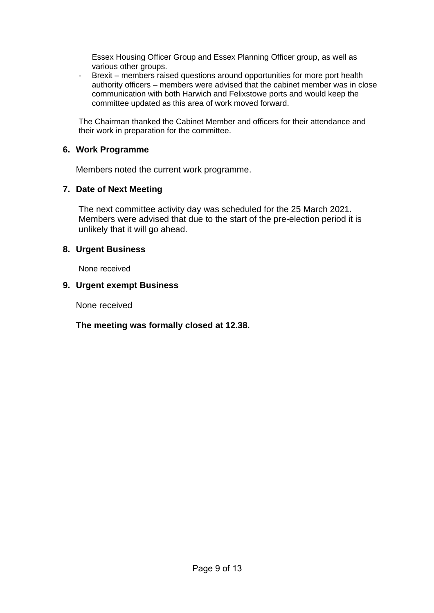Essex Housing Officer Group and Essex Planning Officer group, as well as various other groups.

- Brexit – members raised questions around opportunities for more port health authority officers – members were advised that the cabinet member was in close communication with both Harwich and Felixstowe ports and would keep the committee updated as this area of work moved forward.

The Chairman thanked the Cabinet Member and officers for their attendance and their work in preparation for the committee.

## **6. Work Programme**

Members noted the current work programme.

## **7. Date of Next Meeting**

The next committee activity day was scheduled for the 25 March 2021. Members were advised that due to the start of the pre-election period it is unlikely that it will go ahead.

## **8. Urgent Business**

None received

#### **9. Urgent exempt Business**

None received

## **The meeting was formally closed at 12.38.**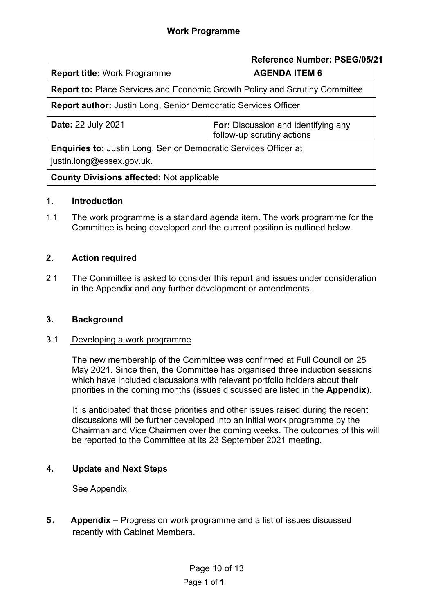|                                                                                    | Reference Number: PSEG/05/21                                             |  |
|------------------------------------------------------------------------------------|--------------------------------------------------------------------------|--|
| <b>Report title: Work Programme</b>                                                | <b>AGENDA ITEM 6</b>                                                     |  |
| <b>Report to: Place Services and Economic Growth Policy and Scrutiny Committee</b> |                                                                          |  |
| <b>Report author:</b> Justin Long, Senior Democratic Services Officer              |                                                                          |  |
| <b>Date: 22 July 2021</b>                                                          | <b>For:</b> Discussion and identifying any<br>follow-up scrutiny actions |  |
| <b>Enquiries to: Justin Long, Senior Democratic Services Officer at</b>            |                                                                          |  |
| justin.long@essex.gov.uk.                                                          |                                                                          |  |
| <b>County Divisions affected: Not applicable</b>                                   |                                                                          |  |

# **1. Introduction**

1.1 The work programme is a standard agenda item. The work programme for the Committee is being developed and the current position is outlined below.

# **2. Action required**

2.1 The Committee is asked to consider this report and issues under consideration in the Appendix and any further development or amendments.

## **3. Background**

## 3.1 Developing a work programme

The new membership of the Committee was confirmed at Full Council on 25 May 2021. Since then, the Committee has organised three induction sessions which have included discussions with relevant portfolio holders about their priorities in the coming months (issues discussed are listed in the **Appendix**).

It is anticipated that those priorities and other issues raised during the recent discussions will be further developed into an initial work programme by the Chairman and Vice Chairmen over the coming weeks. The outcomes of this will be reported to the Committee at its 23 September 2021 meeting.

# **4. Update and Next Steps**

See Appendix.

**5 . Appendix –** Progress on work programme and a list of issues discussed recently with Cabinet Members.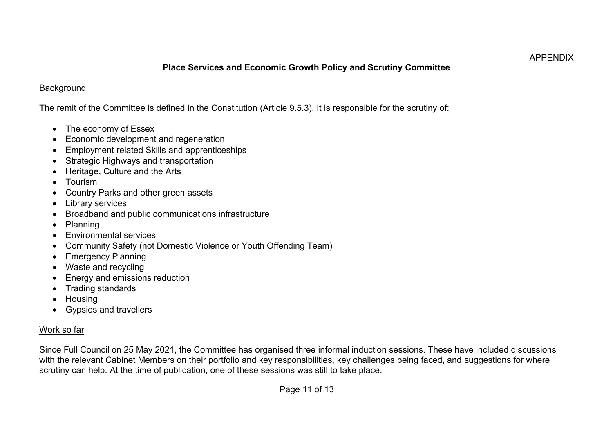#### APPENDIX

# **Place Services and Economic Growth Policy and Scrutiny Committee**

## **Background**

The remit of the Committee is defined in the Constitution (Article 9.5.3). It is responsible for the scrutiny of:

- The economy of Essex
- Economic development and regeneration
- Employment related Skills and apprenticeships
- Strategic Highways and transportation
- Heritage, Culture and the Arts
- Tourism
- Country Parks and other green assets
- **Library services**
- Broadband and public communications infrastructure
- Planning
- Environmental services
- Community Safety (not Domestic Violence or Youth Offending Team)
- Emergency Planning
- Waste and recycling
- Energy and emissions reduction
- Trading standards
- Housing
- Gypsies and travellers

# Work so far

Since Full Council on 25 May 2021, the Committee has organised three informal induction sessions. These have included discussions with the relevant Cabinet Members on their portfolio and key responsibilities, key challenges being faced, and suggestions for where scrutiny can help. At the time of publication, one of these sessions was still to take place.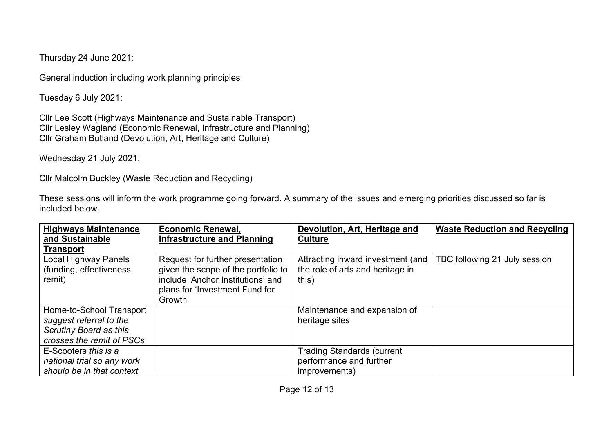Thursday 24 June 2021:

General induction including work planning principles

Tuesday 6 July 2021:

Cllr Lee Scott (Highways Maintenance and Sustainable Transport) Cllr Lesley Wagland (Economic Renewal, Infrastructure and Planning) Cllr Graham Butland (Devolution, Art, Heritage and Culture)

Wednesday 21 July 2021:

Cllr Malcolm Buckley (Waste Reduction and Recycling)

These sessions will inform the work programme going forward. A summary of the issues and emerging priorities discussed so far is included below.

| <b>Highways Maintenance</b><br>and Sustainable                                                                    | <b>Economic Renewal,</b><br><b>Infrastructure and Planning</b>                                                                                            | Devolution, Art, Heritage and<br><b>Culture</b>                                | <b>Waste Reduction and Recycling</b> |
|-------------------------------------------------------------------------------------------------------------------|-----------------------------------------------------------------------------------------------------------------------------------------------------------|--------------------------------------------------------------------------------|--------------------------------------|
| <b>Transport</b>                                                                                                  |                                                                                                                                                           |                                                                                |                                      |
| Local Highway Panels<br>(funding, effectiveness,<br>remit)                                                        | Request for further presentation<br>given the scope of the portfolio to<br>include 'Anchor Institutions' and<br>plans for 'Investment Fund for<br>Growth' | Attracting inward investment (and<br>the role of arts and heritage in<br>this) | TBC following 21 July session        |
| Home-to-School Transport<br>suggest referral to the<br><b>Scrutiny Board as this</b><br>crosses the remit of PSCs |                                                                                                                                                           | Maintenance and expansion of<br>heritage sites                                 |                                      |
| E-Scooters this is a<br>national trial so any work<br>should be in that context                                   |                                                                                                                                                           | <b>Trading Standards (current</b><br>performance and further<br>improvements)  |                                      |